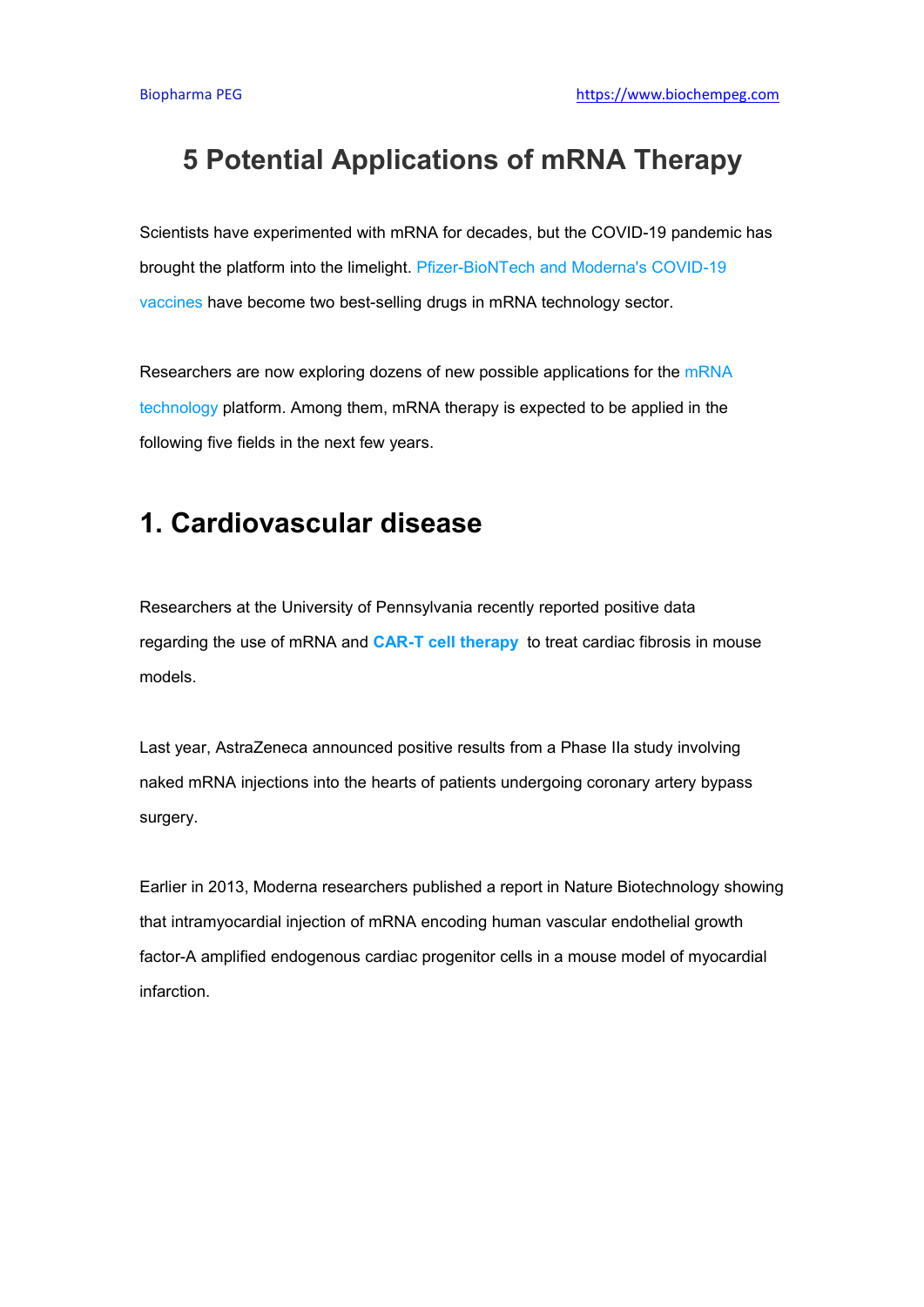## **5 Potential Applications of mRNA Therapy**

Scientists have experimented with mRNA for decades, but the COVID-19 pandemic has brought the platform into the limelight. [Pfizer-BioNTech](https://www.biochempeg.com/article/186.html) and Moderna's COVID-19 vaccines have become two best-selling drugs in mRNA technology sector.

Researchers are now exploring dozens of new possible applications for the [mRNA](https://www.biochempeg.com/article/223.html) technology platform.Among them, mRNA therapy is expected to be applied in the following five fields in the next few years.

## **1. Cardiovascular disease**

Researchers at the University of Pennsylvania recently reported positive data regarding the use of mRNA and **CAR-T cell therapy** to treat cardiac fibrosis in mouse models.

Last year, AstraZeneca announced positive results from a Phase IIa study involving naked mRNA injections into the hearts of patients undergoing coronary artery bypass surgery.

Earlier in 2013, Moderna researchers published a report in Nature Biotechnology showing that intramyocardial injection of mRNA encoding human vascular endothelial growth factor-A amplified endogenous cardiac progenitor cells in a mouse model of myocardial infarction.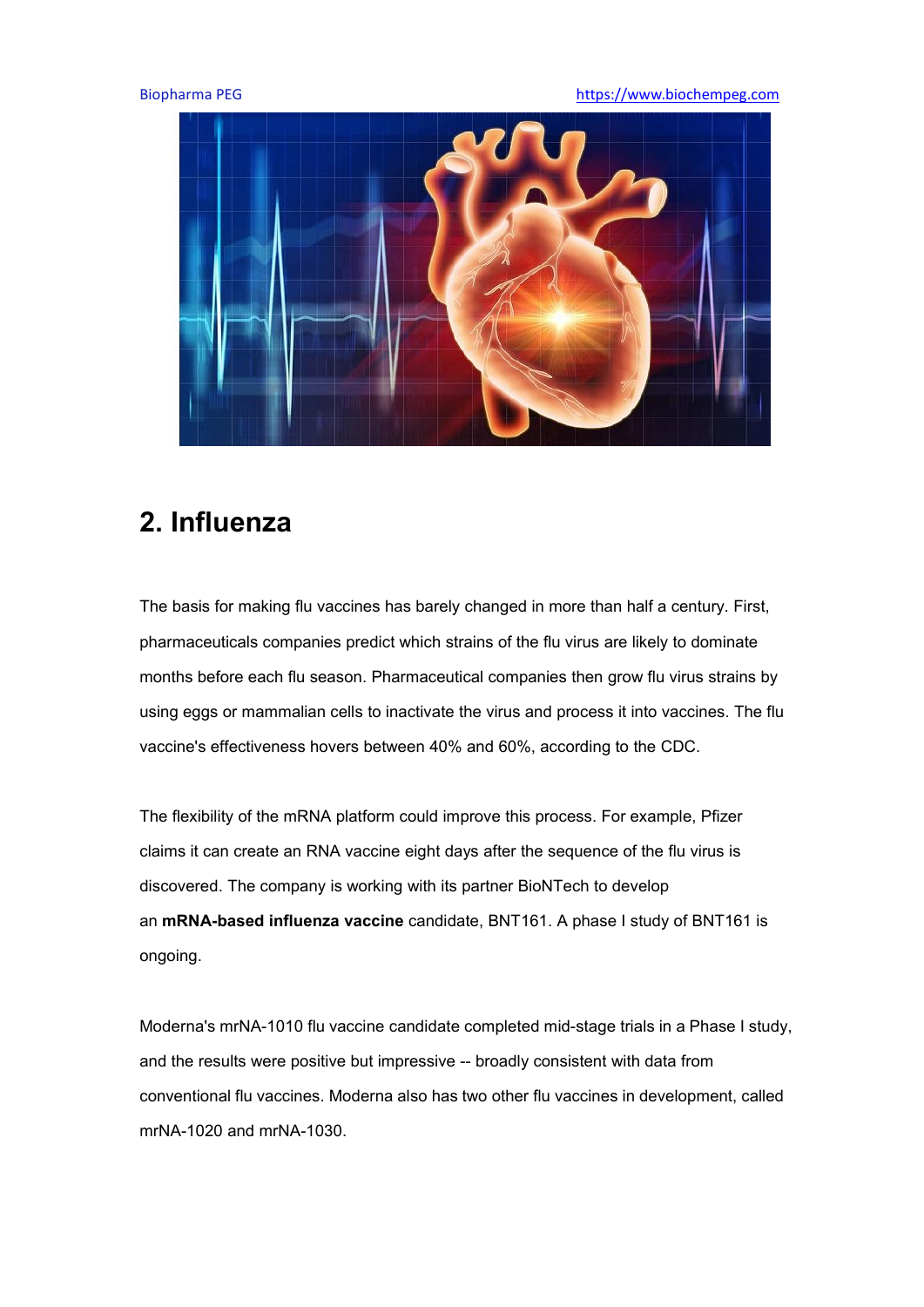Biopharma PEG **<https://www.biochempeg.com>** 



## **2. Influenza**

The basis for making flu vaccines has barely changed in more than half a century. First, pharmaceuticals companies predict which strains of the flu virus are likely to dominate months before each flu season. Pharmaceutical companies then grow flu virus strains by using eggs or mammalian cells to inactivate the virus and process it into vaccines. The flu vaccine's effectiveness hovers between 40% and 60%, according to the CDC.

The flexibility of the mRNA platform could improve this process. For example, Pfizer claims it can create an RNA vaccine eight days after the sequence of the flu virus is discovered. The company is working with its partner BioNTech to develop an **mRNA-based influenza vaccine** candidate, BNT161. A phase I study ofBNT161 is ongoing.

Moderna's mrNA-1010 flu vaccine candidate completed mid-stage trials in a Phase I study, and the results were positive but impressive -- broadly consistent with data from conventional flu vaccines. Moderna also has two other flu vaccines in development, called mrNA-1020 and mrNA-1030.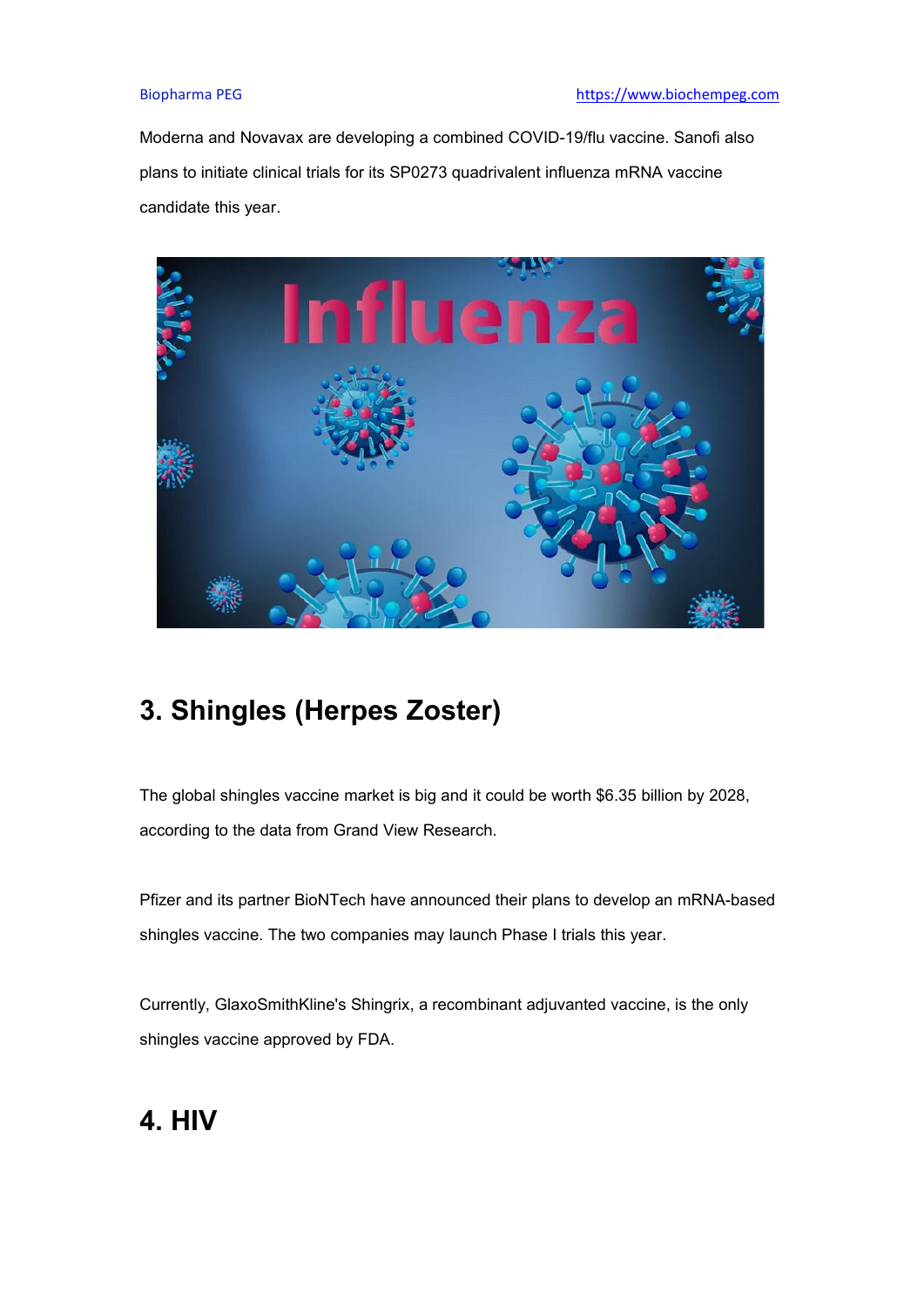Moderna and Novavax are developing a combined COVID-19/flu vaccine. Sanofi also plans to initiate clinical trials for its SP0273 quadrivalent influenza mRNA vaccine candidate this year.



# **3. Shingles (Herpes Zoster)**

The global shingles vaccine market is big and it could be worth \$6.35 billion by 2028, according to the data from Grand View Research.

Pfizer and its partner BioNTech have announced their plans to develop an mRNA-based shingles vaccine. The two companies may launch Phase I trials this year.

Currently, GlaxoSmithKline's Shingrix, a recombinant adjuvanted vaccine, is the only shingles vaccine approved by FDA.

## **4. HIV**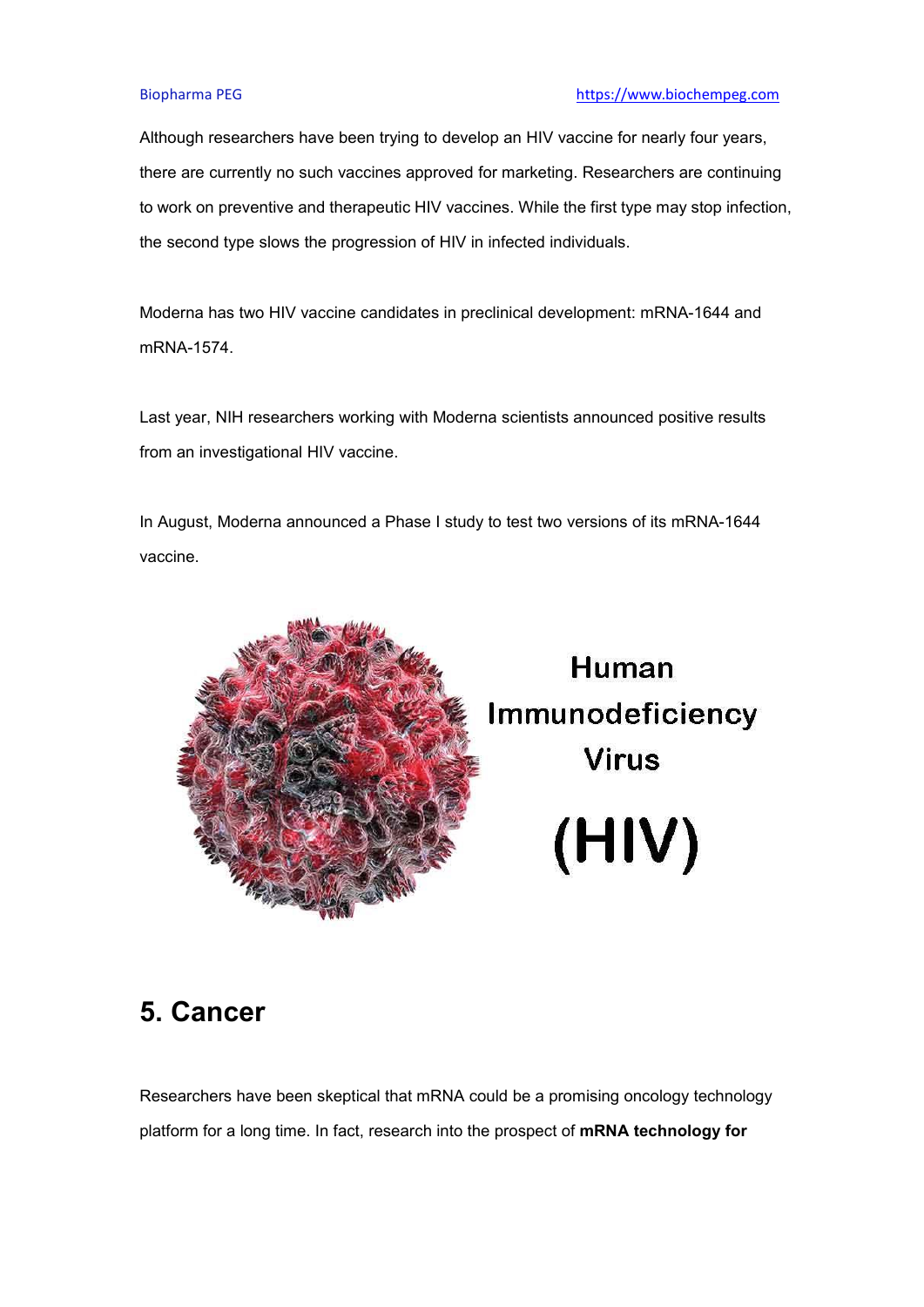Although researchers have been trying to develop an HIV vaccine for nearly four years, there are currently no such vaccines approved for marketing. Researchers are continuing to work on preventive and therapeutic HIV vaccines. While the first type may stop infection, the second type slows the progression of HIV in infected individuals.

Moderna has two HIV vaccine candidates in preclinical development: mRNA-1644 and mRNA-1574.

Last year, NIH researchers working with Moderna scientists announced positive results from an investigational HIV vaccine.

In August, Moderna announced a Phase I study to test two versions of its mRNA-1644 vaccine.



Human Immunodeficiency **Virus** (HIV)

### **5. Cancer**

Researchers have been skeptical that mRNA could be a promising oncology technology platform for a long time. In fact, research into the prospect of**mRNA technology for**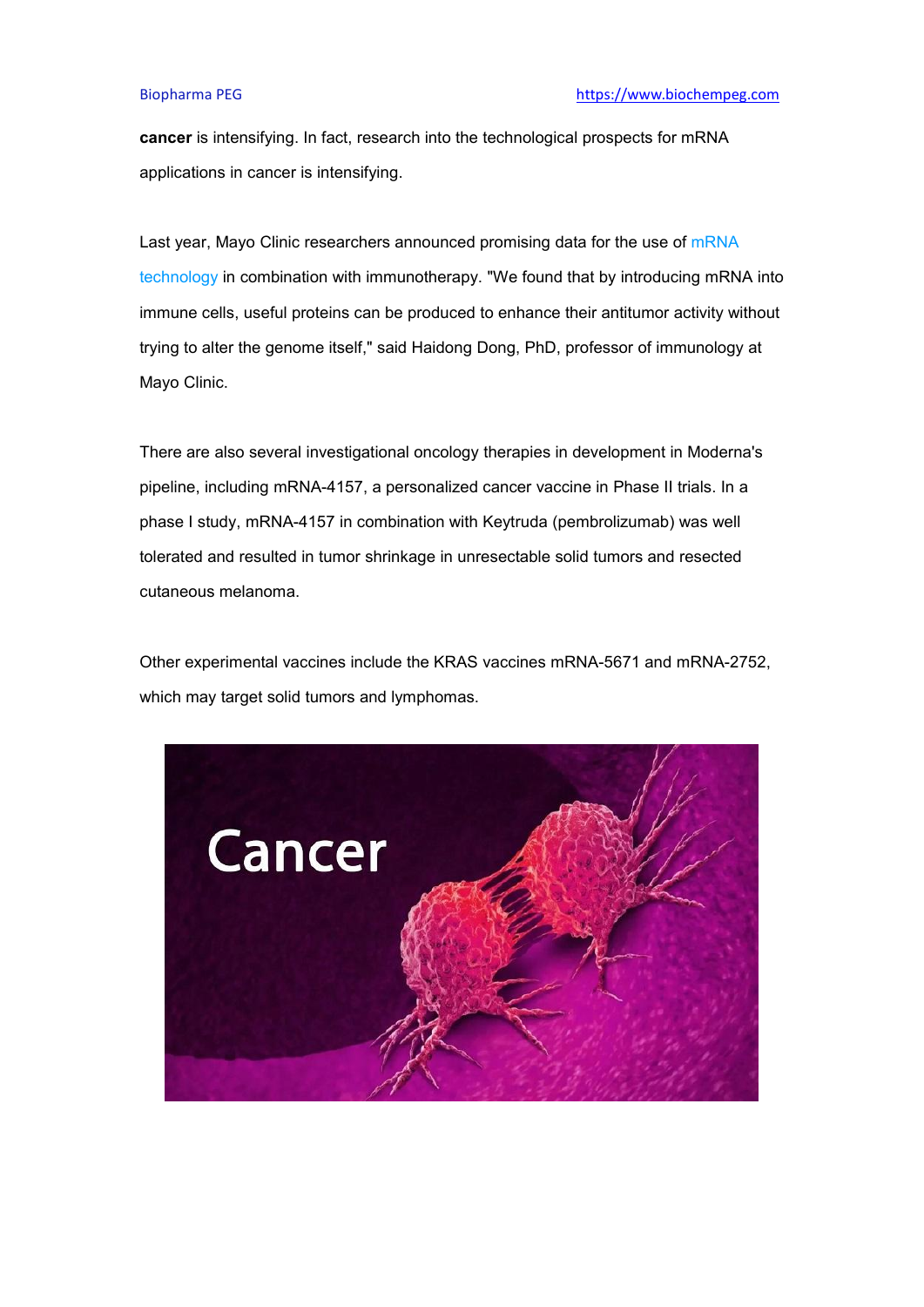**cancer** is intensifying. In fact, research into the technological prospects for mRNA applications in cancer is intensifying.

Last year, Mayo Clinic researchers announced promising data for the use of [mRNA](https://www.biochempeg.com/article/214.html) technology in combination with immunotherapy. "We found that by introducing mRNA into immune cells, useful proteins can be produced to enhance their antitumor activity without trying to alter the genome itself," said Haidong Dong, PhD, professor of immunology at Mayo Clinic.

There are also several investigational oncology therapies in development in Moderna's pipeline, including mRNA-4157, a personalized cancer vaccine in Phase II trials. In a phase I study, mRNA-4157 in combination with Keytruda (pembrolizumab) was well tolerated and resulted in tumor shrinkage in unresectable solid tumors and resected cutaneous melanoma.

Other experimental vaccines include the KRAS vaccines mRNA-5671 and mRNA-2752, which may target solid tumors and lymphomas.